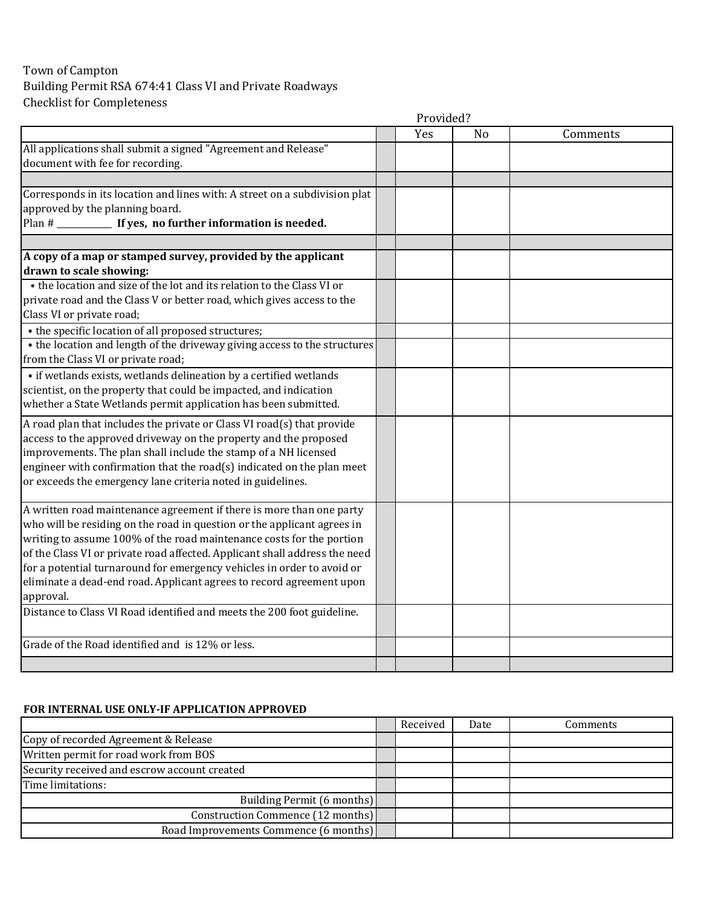## Town of Campton Building Permit RSA 674:41 Class VI and Private Roadways Checklist for Completeness

|                                                                                                                                                                                                                                                                                                                                                                                                                                                                      | Provided? |                |          |  |  |
|----------------------------------------------------------------------------------------------------------------------------------------------------------------------------------------------------------------------------------------------------------------------------------------------------------------------------------------------------------------------------------------------------------------------------------------------------------------------|-----------|----------------|----------|--|--|
|                                                                                                                                                                                                                                                                                                                                                                                                                                                                      | Yes       | N <sub>o</sub> | Comments |  |  |
| All applications shall submit a signed "Agreement and Release"<br>document with fee for recording.                                                                                                                                                                                                                                                                                                                                                                   |           |                |          |  |  |
|                                                                                                                                                                                                                                                                                                                                                                                                                                                                      |           |                |          |  |  |
| Corresponds in its location and lines with: A street on a subdivision plat<br>approved by the planning board.<br>Plan # ______________ If yes, no further information is needed.                                                                                                                                                                                                                                                                                     |           |                |          |  |  |
| A copy of a map or stamped survey, provided by the applicant<br>drawn to scale showing:                                                                                                                                                                                                                                                                                                                                                                              |           |                |          |  |  |
| • the location and size of the lot and its relation to the Class VI or<br>private road and the Class V or better road, which gives access to the<br>Class VI or private road;                                                                                                                                                                                                                                                                                        |           |                |          |  |  |
| • the specific location of all proposed structures;                                                                                                                                                                                                                                                                                                                                                                                                                  |           |                |          |  |  |
| • the location and length of the driveway giving access to the structures<br>from the Class VI or private road;                                                                                                                                                                                                                                                                                                                                                      |           |                |          |  |  |
| • if wetlands exists, wetlands delineation by a certified wetlands<br>scientist, on the property that could be impacted, and indication<br>whether a State Wetlands permit application has been submitted.                                                                                                                                                                                                                                                           |           |                |          |  |  |
| A road plan that includes the private or Class VI road(s) that provide<br>access to the approved driveway on the property and the proposed<br>improvements. The plan shall include the stamp of a NH licensed<br>engineer with confirmation that the road(s) indicated on the plan meet<br>or exceeds the emergency lane criteria noted in guidelines.                                                                                                               |           |                |          |  |  |
| A written road maintenance agreement if there is more than one party<br>who will be residing on the road in question or the applicant agrees in<br>writing to assume 100% of the road maintenance costs for the portion<br>of the Class VI or private road affected. Applicant shall address the need<br>for a potential turnaround for emergency vehicles in order to avoid or<br>eliminate a dead-end road. Applicant agrees to record agreement upon<br>approval. |           |                |          |  |  |
| Distance to Class VI Road identified and meets the 200 foot guideline.                                                                                                                                                                                                                                                                                                                                                                                               |           |                |          |  |  |
| Grade of the Road identified and is 12% or less.                                                                                                                                                                                                                                                                                                                                                                                                                     |           |                |          |  |  |
|                                                                                                                                                                                                                                                                                                                                                                                                                                                                      |           |                |          |  |  |

## **FOR INTERNAL USE ONLY-IF APPLICATION APPROVED**

|                                              | Received | Date | Comments |
|----------------------------------------------|----------|------|----------|
| Copy of recorded Agreement & Release         |          |      |          |
| Written permit for road work from BOS        |          |      |          |
| Security received and escrow account created |          |      |          |
| Time limitations:                            |          |      |          |
| Building Permit (6 months)                   |          |      |          |
| Construction Commence (12 months)            |          |      |          |
| Road Improvements Commence (6 months)        |          |      |          |